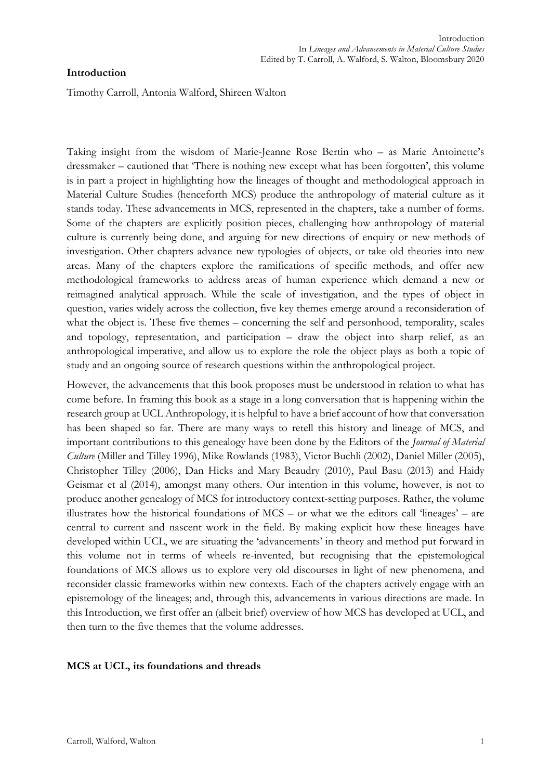# **Introduction**

Timothy Carroll, Antonia Walford, Shireen Walton

Taking insight from the wisdom of Marie-Jeanne Rose Bertin who – as Marie Antoinette's dressmaker – cautioned that 'There is nothing new except what has been forgotten', this volume is in part a project in highlighting how the lineages of thought and methodological approach in Material Culture Studies (henceforth MCS) produce the anthropology of material culture as it stands today. These advancements in MCS, represented in the chapters, take a number of forms. Some of the chapters are explicitly position pieces, challenging how anthropology of material culture is currently being done, and arguing for new directions of enquiry or new methods of investigation. Other chapters advance new typologies of objects, or take old theories into new areas. Many of the chapters explore the ramifications of specific methods, and offer new methodological frameworks to address areas of human experience which demand a new or reimagined analytical approach. While the scale of investigation, and the types of object in question, varies widely across the collection, five key themes emerge around a reconsideration of what the object is. These five themes – concerning the self and personhood, temporality, scales and topology, representation, and participation – draw the object into sharp relief, as an anthropological imperative, and allow us to explore the role the object plays as both a topic of study and an ongoing source of research questions within the anthropological project.

However, the advancements that this book proposes must be understood in relation to what has come before. In framing this book as a stage in a long conversation that is happening within the research group at UCL Anthropology, it is helpful to have a brief account of how that conversation has been shaped so far. There are many ways to retell this history and lineage of MCS, and important contributions to this genealogy have been done by the Editors of the *Journal of Material Culture* (Miller and Tilley 1996), Mike Rowlands (1983), Victor Buchli (2002), Daniel Miller (2005), Christopher Tilley (2006), Dan Hicks and Mary Beaudry (2010), Paul Basu (2013) and Haidy Geismar et al (2014), amongst many others. Our intention in this volume, however, is not to produce another genealogy of MCS for introductory context-setting purposes. Rather, the volume illustrates how the historical foundations of MCS – or what we the editors call 'lineages' – are central to current and nascent work in the field. By making explicit how these lineages have developed within UCL, we are situating the 'advancements' in theory and method put forward in this volume not in terms of wheels re-invented, but recognising that the epistemological foundations of MCS allows us to explore very old discourses in light of new phenomena, and reconsider classic frameworks within new contexts. Each of the chapters actively engage with an epistemology of the lineages; and, through this, advancements in various directions are made. In this Introduction, we first offer an (albeit brief) overview of how MCS has developed at UCL, and then turn to the five themes that the volume addresses.

## **MCS at UCL, its foundations and threads**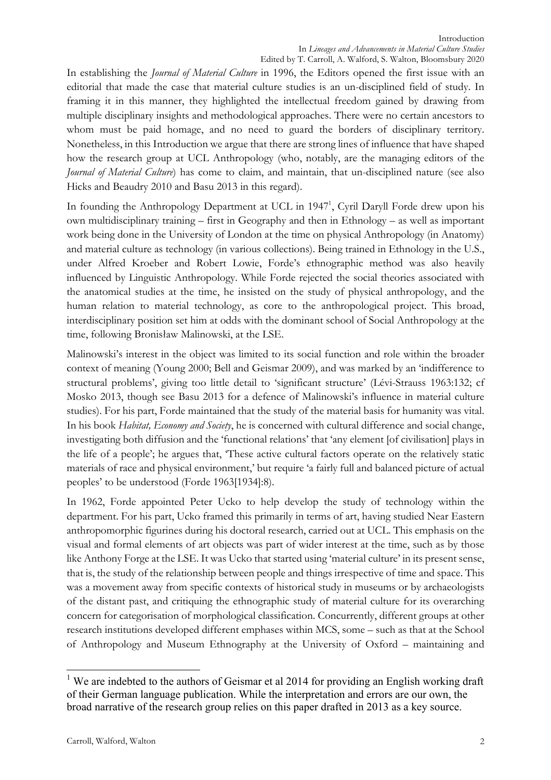In establishing the *Journal of Material Culture* in 1996, the Editors opened the first issue with an editorial that made the case that material culture studies is an un-disciplined field of study. In framing it in this manner, they highlighted the intellectual freedom gained by drawing from multiple disciplinary insights and methodological approaches. There were no certain ancestors to whom must be paid homage, and no need to guard the borders of disciplinary territory. Nonetheless, in this Introduction we argue that there are strong lines of influence that have shaped how the research group at UCL Anthropology (who, notably, are the managing editors of the *Journal of Material Culture*) has come to claim, and maintain, that un-disciplined nature (see also Hicks and Beaudry 2010 and Basu 2013 in this regard).

In founding the Anthropology Department at UCL in 1947<sup>1</sup>, Cyril Daryll Forde drew upon his own multidisciplinary training – first in Geography and then in Ethnology – as well as important work being done in the University of London at the time on physical Anthropology (in Anatomy) and material culture as technology (in various collections). Being trained in Ethnology in the U.S., under Alfred Kroeber and Robert Lowie, Forde's ethnographic method was also heavily influenced by Linguistic Anthropology. While Forde rejected the social theories associated with the anatomical studies at the time, he insisted on the study of physical anthropology, and the human relation to material technology, as core to the anthropological project. This broad, interdisciplinary position set him at odds with the dominant school of Social Anthropology at the time, following Bronisław Malinowski, at the LSE.

Malinowski's interest in the object was limited to its social function and role within the broader context of meaning (Young 2000; Bell and Geismar 2009), and was marked by an 'indifference to structural problems', giving too little detail to 'significant structure' (Lévi-Strauss 1963:132; cf Mosko 2013, though see Basu 2013 for a defence of Malinowski's influence in material culture studies). For his part, Forde maintained that the study of the material basis for humanity was vital. In his book *Habitat, Economy and Society*, he is concerned with cultural difference and social change, investigating both diffusion and the 'functional relations' that 'any element [of civilisation] plays in the life of a people'; he argues that, 'These active cultural factors operate on the relatively static materials of race and physical environment,' but require 'a fairly full and balanced picture of actual peoples' to be understood (Forde 1963[1934]:8).

In 1962, Forde appointed Peter Ucko to help develop the study of technology within the department. For his part, Ucko framed this primarily in terms of art, having studied Near Eastern anthropomorphic figurines during his doctoral research, carried out at UCL. This emphasis on the visual and formal elements of art objects was part of wider interest at the time, such as by those like Anthony Forge at the LSE. It was Ucko that started using 'material culture' in its present sense, that is, the study of the relationship between people and things irrespective of time and space. This was a movement away from specific contexts of historical study in museums or by archaeologists of the distant past, and critiquing the ethnographic study of material culture for its overarching concern for categorisation of morphological classification. Concurrently, different groups at other research institutions developed different emphases within MCS, some – such as that at the School of Anthropology and Museum Ethnography at the University of Oxford – maintaining and

<sup>&</sup>lt;sup>1</sup> We are indebted to the authors of Geismar et al 2014 for providing an English working draft of their German language publication. While the interpretation and errors are our own, the broad narrative of the research group relies on this paper drafted in 2013 as a key source.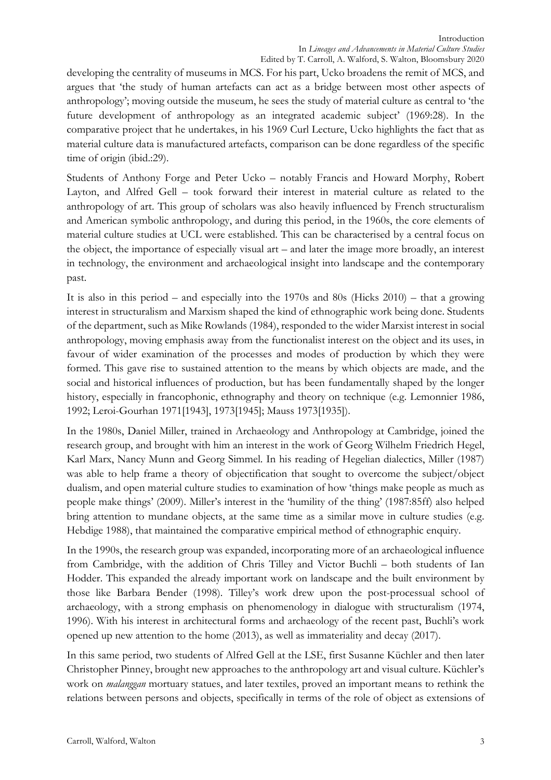developing the centrality of museums in MCS. For his part, Ucko broadens the remit of MCS, and argues that 'the study of human artefacts can act as a bridge between most other aspects of anthropology'; moving outside the museum, he sees the study of material culture as central to 'the future development of anthropology as an integrated academic subject' (1969:28). In the comparative project that he undertakes, in his 1969 Curl Lecture, Ucko highlights the fact that as material culture data is manufactured artefacts, comparison can be done regardless of the specific time of origin (ibid.:29).

Students of Anthony Forge and Peter Ucko – notably Francis and Howard Morphy, Robert Layton, and Alfred Gell – took forward their interest in material culture as related to the anthropology of art. This group of scholars was also heavily influenced by French structuralism and American symbolic anthropology, and during this period, in the 1960s, the core elements of material culture studies at UCL were established. This can be characterised by a central focus on the object, the importance of especially visual art – and later the image more broadly, an interest in technology, the environment and archaeological insight into landscape and the contemporary past.

It is also in this period – and especially into the 1970s and 80s (Hicks 2010) – that a growing interest in structuralism and Marxism shaped the kind of ethnographic work being done. Students of the department, such as Mike Rowlands (1984), responded to the wider Marxist interest in social anthropology, moving emphasis away from the functionalist interest on the object and its uses, in favour of wider examination of the processes and modes of production by which they were formed. This gave rise to sustained attention to the means by which objects are made, and the social and historical influences of production, but has been fundamentally shaped by the longer history, especially in francophonic, ethnography and theory on technique (e.g. Lemonnier 1986, 1992; Leroi-Gourhan 1971[1943], 1973[1945]; Mauss 1973[1935]).

In the 1980s, Daniel Miller, trained in Archaeology and Anthropology at Cambridge, joined the research group, and brought with him an interest in the work of Georg Wilhelm Friedrich Hegel, Karl Marx, Nancy Munn and Georg Simmel. In his reading of Hegelian dialectics, Miller (1987) was able to help frame a theory of objectification that sought to overcome the subject/object dualism, and open material culture studies to examination of how 'things make people as much as people make things' (2009). Miller's interest in the 'humility of the thing' (1987:85ff) also helped bring attention to mundane objects, at the same time as a similar move in culture studies (e.g. Hebdige 1988), that maintained the comparative empirical method of ethnographic enquiry.

In the 1990s, the research group was expanded, incorporating more of an archaeological influence from Cambridge, with the addition of Chris Tilley and Victor Buchli – both students of Ian Hodder. This expanded the already important work on landscape and the built environment by those like Barbara Bender (1998). Tilley's work drew upon the post-processual school of archaeology, with a strong emphasis on phenomenology in dialogue with structuralism (1974, 1996). With his interest in architectural forms and archaeology of the recent past, Buchli's work opened up new attention to the home (2013), as well as immateriality and decay (2017).

In this same period, two students of Alfred Gell at the LSE, first Susanne Küchler and then later Christopher Pinney, brought new approaches to the anthropology art and visual culture. Küchler's work on *malanggan* mortuary statues, and later textiles, proved an important means to rethink the relations between persons and objects, specifically in terms of the role of object as extensions of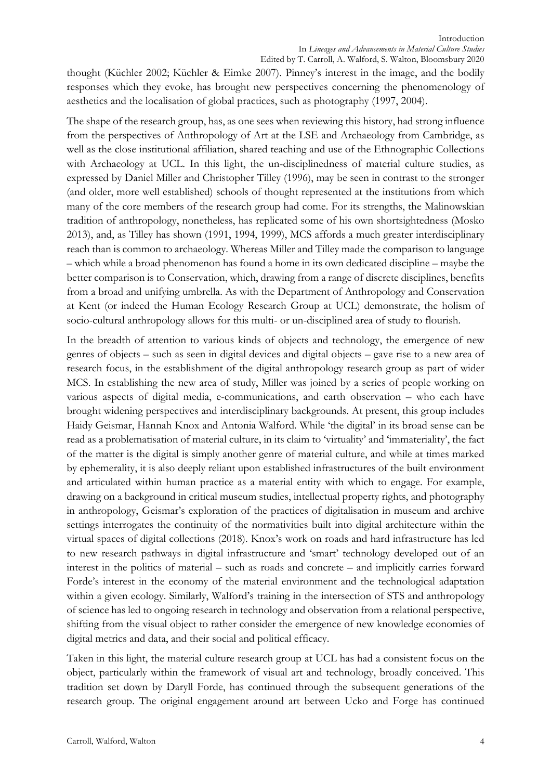thought (Küchler 2002; Küchler & Eimke 2007). Pinney's interest in the image, and the bodily responses which they evoke, has brought new perspectives concerning the phenomenology of aesthetics and the localisation of global practices, such as photography (1997, 2004).

The shape of the research group, has, as one sees when reviewing this history, had strong influence from the perspectives of Anthropology of Art at the LSE and Archaeology from Cambridge, as well as the close institutional affiliation, shared teaching and use of the Ethnographic Collections with Archaeology at UCL. In this light, the un-disciplinedness of material culture studies, as expressed by Daniel Miller and Christopher Tilley (1996), may be seen in contrast to the stronger (and older, more well established) schools of thought represented at the institutions from which many of the core members of the research group had come. For its strengths, the Malinowskian tradition of anthropology, nonetheless, has replicated some of his own shortsightedness (Mosko 2013), and, as Tilley has shown (1991, 1994, 1999), MCS affords a much greater interdisciplinary reach than is common to archaeology. Whereas Miller and Tilley made the comparison to language – which while a broad phenomenon has found a home in its own dedicated discipline – maybe the better comparison is to Conservation, which, drawing from a range of discrete disciplines, benefits from a broad and unifying umbrella. As with the Department of Anthropology and Conservation at Kent (or indeed the Human Ecology Research Group at UCL) demonstrate, the holism of socio-cultural anthropology allows for this multi- or un-disciplined area of study to flourish.

In the breadth of attention to various kinds of objects and technology, the emergence of new genres of objects – such as seen in digital devices and digital objects – gave rise to a new area of research focus, in the establishment of the digital anthropology research group as part of wider MCS. In establishing the new area of study, Miller was joined by a series of people working on various aspects of digital media, e-communications, and earth observation – who each have brought widening perspectives and interdisciplinary backgrounds. At present, this group includes Haidy Geismar, Hannah Knox and Antonia Walford. While 'the digital' in its broad sense can be read as a problematisation of material culture, in its claim to 'virtuality' and 'immateriality', the fact of the matter is the digital is simply another genre of material culture, and while at times marked by ephemerality, it is also deeply reliant upon established infrastructures of the built environment and articulated within human practice as a material entity with which to engage. For example, drawing on a background in critical museum studies, intellectual property rights, and photography in anthropology, Geismar's exploration of the practices of digitalisation in museum and archive settings interrogates the continuity of the normativities built into digital architecture within the virtual spaces of digital collections (2018). Knox's work on roads and hard infrastructure has led to new research pathways in digital infrastructure and 'smart' technology developed out of an interest in the politics of material – such as roads and concrete – and implicitly carries forward Forde's interest in the economy of the material environment and the technological adaptation within a given ecology. Similarly, Walford's training in the intersection of STS and anthropology of science has led to ongoing research in technology and observation from a relational perspective, shifting from the visual object to rather consider the emergence of new knowledge economies of digital metrics and data, and their social and political efficacy.

Taken in this light, the material culture research group at UCL has had a consistent focus on the object, particularly within the framework of visual art and technology, broadly conceived. This tradition set down by Daryll Forde, has continued through the subsequent generations of the research group. The original engagement around art between Ucko and Forge has continued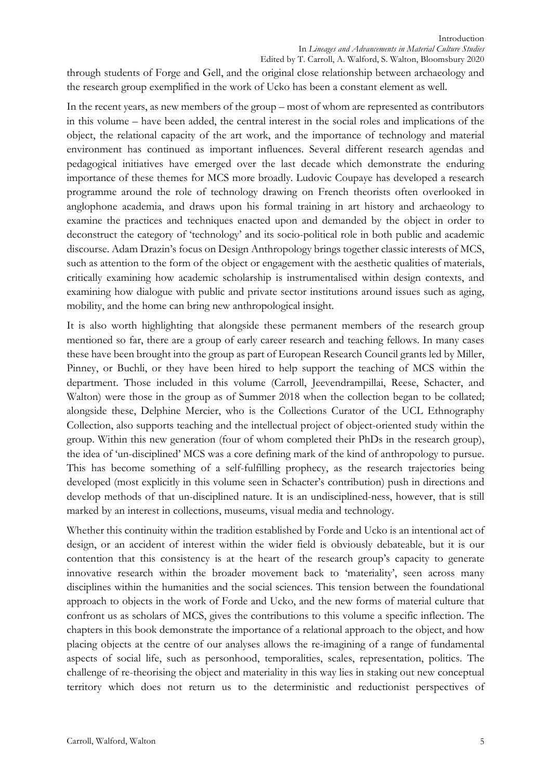through students of Forge and Gell, and the original close relationship between archaeology and the research group exemplified in the work of Ucko has been a constant element as well.

In the recent years, as new members of the group – most of whom are represented as contributors in this volume – have been added, the central interest in the social roles and implications of the object, the relational capacity of the art work, and the importance of technology and material environment has continued as important influences. Several different research agendas and pedagogical initiatives have emerged over the last decade which demonstrate the enduring importance of these themes for MCS more broadly. Ludovic Coupaye has developed a research programme around the role of technology drawing on French theorists often overlooked in anglophone academia, and draws upon his formal training in art history and archaeology to examine the practices and techniques enacted upon and demanded by the object in order to deconstruct the category of 'technology' and its socio-political role in both public and academic discourse. Adam Drazin's focus on Design Anthropology brings together classic interests of MCS, such as attention to the form of the object or engagement with the aesthetic qualities of materials, critically examining how academic scholarship is instrumentalised within design contexts, and examining how dialogue with public and private sector institutions around issues such as aging, mobility, and the home can bring new anthropological insight.

It is also worth highlighting that alongside these permanent members of the research group mentioned so far, there are a group of early career research and teaching fellows. In many cases these have been brought into the group as part of European Research Council grants led by Miller, Pinney, or Buchli, or they have been hired to help support the teaching of MCS within the department. Those included in this volume (Carroll, Jeevendrampillai, Reese, Schacter, and Walton) were those in the group as of Summer 2018 when the collection began to be collated; alongside these, Delphine Mercier, who is the Collections Curator of the UCL Ethnography Collection, also supports teaching and the intellectual project of object-oriented study within the group. Within this new generation (four of whom completed their PhDs in the research group), the idea of 'un-disciplined' MCS was a core defining mark of the kind of anthropology to pursue. This has become something of a self-fulfilling prophecy, as the research trajectories being developed (most explicitly in this volume seen in Schacter's contribution) push in directions and develop methods of that un-disciplined nature. It is an undisciplined-ness, however, that is still marked by an interest in collections, museums, visual media and technology.

Whether this continuity within the tradition established by Forde and Ucko is an intentional act of design, or an accident of interest within the wider field is obviously debateable, but it is our contention that this consistency is at the heart of the research group's capacity to generate innovative research within the broader movement back to 'materiality', seen across many disciplines within the humanities and the social sciences. This tension between the foundational approach to objects in the work of Forde and Ucko, and the new forms of material culture that confront us as scholars of MCS, gives the contributions to this volume a specific inflection. The chapters in this book demonstrate the importance of a relational approach to the object, and how placing objects at the centre of our analyses allows the re-imagining of a range of fundamental aspects of social life, such as personhood, temporalities, scales, representation, politics. The challenge of re-theorising the object and materiality in this way lies in staking out new conceptual territory which does not return us to the deterministic and reductionist perspectives of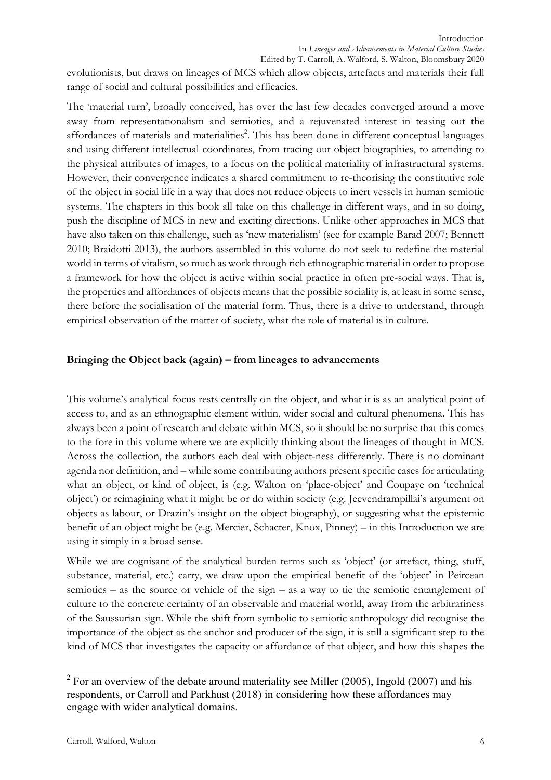evolutionists, but draws on lineages of MCS which allow objects, artefacts and materials their full range of social and cultural possibilities and efficacies.

The 'material turn', broadly conceived, has over the last few decades converged around a move away from representationalism and semiotics, and a rejuvenated interest in teasing out the affordances of materials and materialities<sup>2</sup>. This has been done in different conceptual languages and using different intellectual coordinates, from tracing out object biographies, to attending to the physical attributes of images, to a focus on the political materiality of infrastructural systems. However, their convergence indicates a shared commitment to re-theorising the constitutive role of the object in social life in a way that does not reduce objects to inert vessels in human semiotic systems. The chapters in this book all take on this challenge in different ways, and in so doing, push the discipline of MCS in new and exciting directions. Unlike other approaches in MCS that have also taken on this challenge, such as 'new materialism' (see for example Barad 2007; Bennett 2010; Braidotti 2013), the authors assembled in this volume do not seek to redefine the material world in terms of vitalism, so much as work through rich ethnographic material in order to propose a framework for how the object is active within social practice in often pre-social ways. That is, the properties and affordances of objects means that the possible sociality is, at least in some sense, there before the socialisation of the material form. Thus, there is a drive to understand, through empirical observation of the matter of society, what the role of material is in culture.

# **Bringing the Object back (again) – from lineages to advancements**

This volume's analytical focus rests centrally on the object, and what it is as an analytical point of access to, and as an ethnographic element within, wider social and cultural phenomena. This has always been a point of research and debate within MCS, so it should be no surprise that this comes to the fore in this volume where we are explicitly thinking about the lineages of thought in MCS. Across the collection, the authors each deal with object-ness differently. There is no dominant agenda nor definition, and – while some contributing authors present specific cases for articulating what an object, or kind of object, is (e.g. Walton on 'place-object' and Coupaye on 'technical object') or reimagining what it might be or do within society (e.g. Jeevendrampillai's argument on objects as labour, or Drazin's insight on the object biography), or suggesting what the epistemic benefit of an object might be (e.g. Mercier, Schacter, Knox, Pinney) – in this Introduction we are using it simply in a broad sense.

While we are cognisant of the analytical burden terms such as 'object' (or artefact, thing, stuff, substance, material, etc.) carry, we draw upon the empirical benefit of the 'object' in Peircean semiotics – as the source or vehicle of the sign – as a way to tie the semiotic entanglement of culture to the concrete certainty of an observable and material world, away from the arbitrariness of the Saussurian sign. While the shift from symbolic to semiotic anthropology did recognise the importance of the object as the anchor and producer of the sign, it is still a significant step to the kind of MCS that investigates the capacity or affordance of that object, and how this shapes the

 $2$  For an overview of the debate around materiality see Miller (2005), Ingold (2007) and his respondents, or Carroll and Parkhust (2018) in considering how these affordances may engage with wider analytical domains.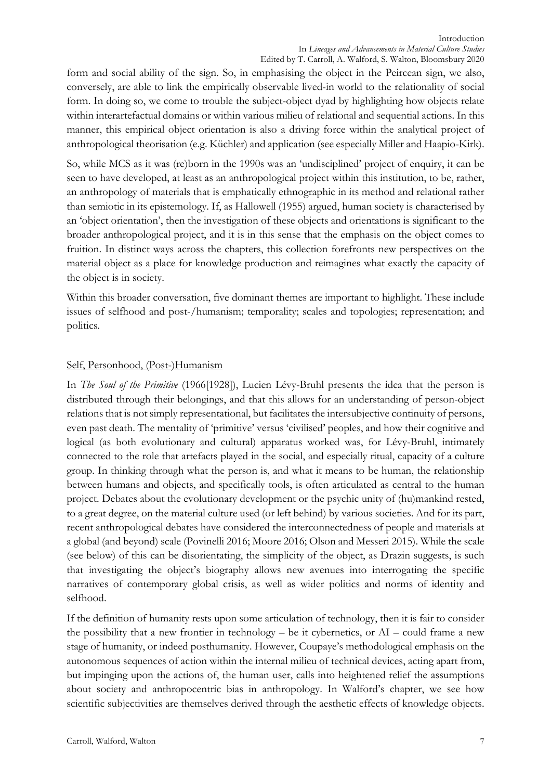form and social ability of the sign. So, in emphasising the object in the Peircean sign, we also, conversely, are able to link the empirically observable lived-in world to the relationality of social form. In doing so, we come to trouble the subject-object dyad by highlighting how objects relate within interartefactual domains or within various milieu of relational and sequential actions. In this manner, this empirical object orientation is also a driving force within the analytical project of anthropological theorisation (e.g. Küchler) and application (see especially Miller and Haapio-Kirk).

So, while MCS as it was (re)born in the 1990s was an 'undisciplined' project of enquiry, it can be seen to have developed, at least as an anthropological project within this institution, to be, rather, an anthropology of materials that is emphatically ethnographic in its method and relational rather than semiotic in its epistemology. If, as Hallowell (1955) argued, human society is characterised by an 'object orientation', then the investigation of these objects and orientations is significant to the broader anthropological project, and it is in this sense that the emphasis on the object comes to fruition. In distinct ways across the chapters, this collection forefronts new perspectives on the material object as a place for knowledge production and reimagines what exactly the capacity of the object is in society.

Within this broader conversation, five dominant themes are important to highlight. These include issues of selfhood and post-/humanism; temporality; scales and topologies; representation; and politics.

## Self, Personhood, (Post-)Humanism

In *The Soul of the Primitive* (1966[1928]), Lucien Lévy-Bruhl presents the idea that the person is distributed through their belongings, and that this allows for an understanding of person-object relations that is not simply representational, but facilitates the intersubjective continuity of persons, even past death. The mentality of 'primitive' versus 'civilised' peoples, and how their cognitive and logical (as both evolutionary and cultural) apparatus worked was, for Lévy-Bruhl, intimately connected to the role that artefacts played in the social, and especially ritual, capacity of a culture group. In thinking through what the person is, and what it means to be human, the relationship between humans and objects, and specifically tools, is often articulated as central to the human project. Debates about the evolutionary development or the psychic unity of (hu)mankind rested, to a great degree, on the material culture used (or left behind) by various societies. And for its part, recent anthropological debates have considered the interconnectedness of people and materials at a global (and beyond) scale (Povinelli 2016; Moore 2016; Olson and Messeri 2015). While the scale (see below) of this can be disorientating, the simplicity of the object, as Drazin suggests, is such that investigating the object's biography allows new avenues into interrogating the specific narratives of contemporary global crisis, as well as wider politics and norms of identity and selfhood.

If the definition of humanity rests upon some articulation of technology, then it is fair to consider the possibility that a new frontier in technology  $-$  be it cybernetics, or  $AI -$  could frame a new stage of humanity, or indeed posthumanity. However, Coupaye's methodological emphasis on the autonomous sequences of action within the internal milieu of technical devices, acting apart from, but impinging upon the actions of, the human user, calls into heightened relief the assumptions about society and anthropocentric bias in anthropology. In Walford's chapter, we see how scientific subjectivities are themselves derived through the aesthetic effects of knowledge objects.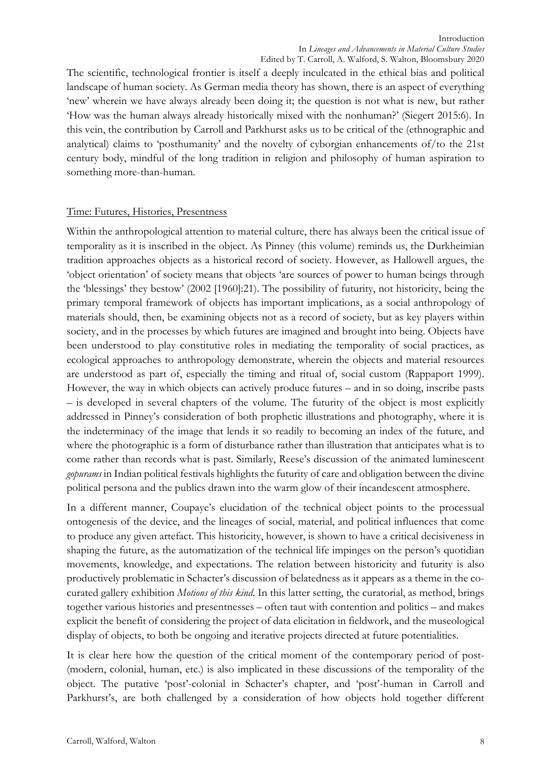The scientific, technological frontier is itself a deeply inculcated in the ethical bias and political landscape of human society. As German media theory has shown, there is an aspect of everything 'new' wherein we have always already been doing it; the question is not what is new, but rather 'How was the human always already historically mixed with the nonhuman?' (Siegert 2015:6). In this vein, the contribution by Carroll and Parkhurst asks us to be critical of the (ethnographic and analytical) claims to 'posthumanity' and the novelty of cyborgian enhancements of/to the 21st century body, mindful of the long tradition in religion and philosophy of human aspiration to something more-than-human.

### Time: Futures, Histories, Presentness

Within the anthropological attention to material culture, there has always been the critical issue of temporality as it is inscribed in the object. As Pinney (this volume) reminds us, the Durkheimian tradition approaches objects as a historical record of society. However, as Hallowell argues, the 'object orientation' of society means that objects 'are sources of power to human beings through the 'blessings' they bestow' (2002 [1960]:21). The possibility of futurity, not historicity, being the primary temporal framework of objects has important implications, as a social anthropology of materials should, then, be examining objects not as a record of society, but as key players within society, and in the processes by which futures are imagined and brought into being. Objects have been understood to play constitutive roles in mediating the temporality of social practices, as ecological approaches to anthropology demonstrate, wherein the objects and material resources are understood as part of, especially the timing and ritual of, social custom (Rappaport 1999). However, the way in which objects can actively produce futures – and in so doing, inscribe pasts – is developed in several chapters of the volume. The futurity of the object is most explicitly addressed in Pinney's consideration of both prophetic illustrations and photography, where it is the indeterminacy of the image that lends it so readily to becoming an index of the future, and where the photographic is a form of disturbance rather than illustration that anticipates what is to come rather than records what is past. Similarly, Reese's discussion of the animated luminescent *gopurams* in Indian political festivals highlights the futurity of care and obligation between the divine political persona and the publics drawn into the warm glow of their incandescent atmosphere.

In a different manner, Coupaye's elucidation of the technical object points to the processual ontogenesis of the device, and the lineages of social, material, and political influences that come to produce any given artefact. This historicity, however, is shown to have a critical decisiveness in shaping the future, as the automatization of the technical life impinges on the person's quotidian movements, knowledge, and expectations. The relation between historicity and futurity is also productively problematic in Schacter's discussion of belatedness as it appears as a theme in the cocurated gallery exhibition *Motions of this kind*. In this latter setting, the curatorial, as method, brings together various histories and presentnesses – often taut with contention and politics – and makes explicit the benefit of considering the project of data elicitation in fieldwork, and the museological display of objects, to both be ongoing and iterative projects directed at future potentialities.

It is clear here how the question of the critical moment of the contemporary period of post- (modern, colonial, human, etc.) is also implicated in these discussions of the temporality of the object. The putative 'post'-colonial in Schacter's chapter, and 'post'-human in Carroll and Parkhurst's, are both challenged by a consideration of how objects hold together different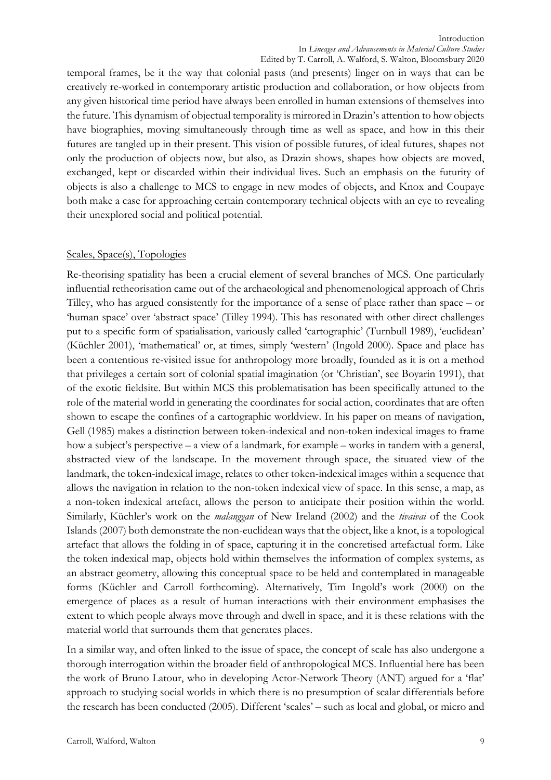temporal frames, be it the way that colonial pasts (and presents) linger on in ways that can be creatively re-worked in contemporary artistic production and collaboration, or how objects from any given historical time period have always been enrolled in human extensions of themselves into the future. This dynamism of objectual temporality is mirrored in Drazin's attention to how objects have biographies, moving simultaneously through time as well as space, and how in this their futures are tangled up in their present. This vision of possible futures, of ideal futures, shapes not only the production of objects now, but also, as Drazin shows, shapes how objects are moved, exchanged, kept or discarded within their individual lives. Such an emphasis on the futurity of objects is also a challenge to MCS to engage in new modes of objects, and Knox and Coupaye both make a case for approaching certain contemporary technical objects with an eye to revealing their unexplored social and political potential.

### Scales, Space(s), Topologies

Re-theorising spatiality has been a crucial element of several branches of MCS. One particularly influential retheorisation came out of the archaeological and phenomenological approach of Chris Tilley, who has argued consistently for the importance of a sense of place rather than space – or 'human space' over 'abstract space' (Tilley 1994). This has resonated with other direct challenges put to a specific form of spatialisation, variously called 'cartographic' (Turnbull 1989), 'euclidean' (Küchler 2001), 'mathematical' or, at times, simply 'western' (Ingold 2000). Space and place has been a contentious re-visited issue for anthropology more broadly, founded as it is on a method that privileges a certain sort of colonial spatial imagination (or 'Christian', see Boyarin 1991), that of the exotic fieldsite. But within MCS this problematisation has been specifically attuned to the role of the material world in generating the coordinates for social action, coordinates that are often shown to escape the confines of a cartographic worldview. In his paper on means of navigation, Gell (1985) makes a distinction between token-indexical and non-token indexical images to frame how a subject's perspective – a view of a landmark, for example – works in tandem with a general, abstracted view of the landscape. In the movement through space, the situated view of the landmark, the token-indexical image, relates to other token-indexical images within a sequence that allows the navigation in relation to the non-token indexical view of space. In this sense, a map, as a non-token indexical artefact, allows the person to anticipate their position within the world. Similarly, Küchler's work on the *malanggan* of New Ireland (2002) and the *tivaivai* of the Cook Islands (2007) both demonstrate the non-euclidean ways that the object, like a knot, is a topological artefact that allows the folding in of space, capturing it in the concretised artefactual form. Like the token indexical map, objects hold within themselves the information of complex systems, as an abstract geometry, allowing this conceptual space to be held and contemplated in manageable forms (Küchler and Carroll forthcoming). Alternatively, Tim Ingold's work (2000) on the emergence of places as a result of human interactions with their environment emphasises the extent to which people always move through and dwell in space, and it is these relations with the material world that surrounds them that generates places.

In a similar way, and often linked to the issue of space, the concept of scale has also undergone a thorough interrogation within the broader field of anthropological MCS. Influential here has been the work of Bruno Latour, who in developing Actor-Network Theory (ANT) argued for a 'flat' approach to studying social worlds in which there is no presumption of scalar differentials before the research has been conducted (2005). Different 'scales' – such as local and global, or micro and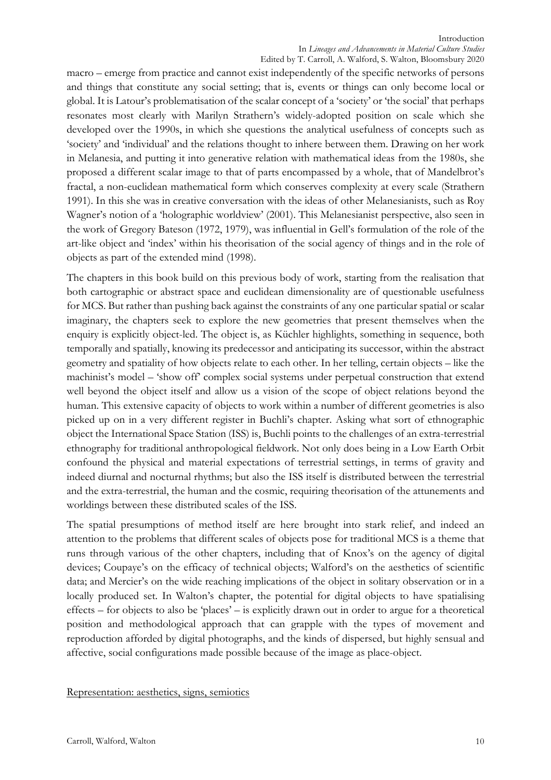macro – emerge from practice and cannot exist independently of the specific networks of persons and things that constitute any social setting; that is, events or things can only become local or global. It is Latour's problematisation of the scalar concept of a 'society' or 'the social' that perhaps resonates most clearly with Marilyn Strathern's widely-adopted position on scale which she developed over the 1990s, in which she questions the analytical usefulness of concepts such as 'society' and 'individual' and the relations thought to inhere between them. Drawing on her work in Melanesia, and putting it into generative relation with mathematical ideas from the 1980s, she proposed a different scalar image to that of parts encompassed by a whole, that of Mandelbrot's fractal, a non-euclidean mathematical form which conserves complexity at every scale (Strathern 1991). In this she was in creative conversation with the ideas of other Melanesianists, such as Roy Wagner's notion of a 'holographic worldview' (2001). This Melanesianist perspective, also seen in the work of Gregory Bateson (1972, 1979), was influential in Gell's formulation of the role of the art-like object and 'index' within his theorisation of the social agency of things and in the role of objects as part of the extended mind (1998).

The chapters in this book build on this previous body of work, starting from the realisation that both cartographic or abstract space and euclidean dimensionality are of questionable usefulness for MCS. But rather than pushing back against the constraints of any one particular spatial or scalar imaginary, the chapters seek to explore the new geometries that present themselves when the enquiry is explicitly object-led. The object is, as Küchler highlights, something in sequence, both temporally and spatially, knowing its predecessor and anticipating its successor, within the abstract geometry and spatiality of how objects relate to each other. In her telling, certain objects – like the machinist's model – 'show off' complex social systems under perpetual construction that extend well beyond the object itself and allow us a vision of the scope of object relations beyond the human. This extensive capacity of objects to work within a number of different geometries is also picked up on in a very different register in Buchli's chapter. Asking what sort of ethnographic object the International Space Station (ISS) is, Buchli points to the challenges of an extra-terrestrial ethnography for traditional anthropological fieldwork. Not only does being in a Low Earth Orbit confound the physical and material expectations of terrestrial settings, in terms of gravity and indeed diurnal and nocturnal rhythms; but also the ISS itself is distributed between the terrestrial and the extra-terrestrial, the human and the cosmic, requiring theorisation of the attunements and worldings between these distributed scales of the ISS.

The spatial presumptions of method itself are here brought into stark relief, and indeed an attention to the problems that different scales of objects pose for traditional MCS is a theme that runs through various of the other chapters, including that of Knox's on the agency of digital devices; Coupaye's on the efficacy of technical objects; Walford's on the aesthetics of scientific data; and Mercier's on the wide reaching implications of the object in solitary observation or in a locally produced set. In Walton's chapter, the potential for digital objects to have spatialising effects – for objects to also be 'places' – is explicitly drawn out in order to argue for a theoretical position and methodological approach that can grapple with the types of movement and reproduction afforded by digital photographs, and the kinds of dispersed, but highly sensual and affective, social configurations made possible because of the image as place-object.

### Representation: aesthetics, signs, semiotics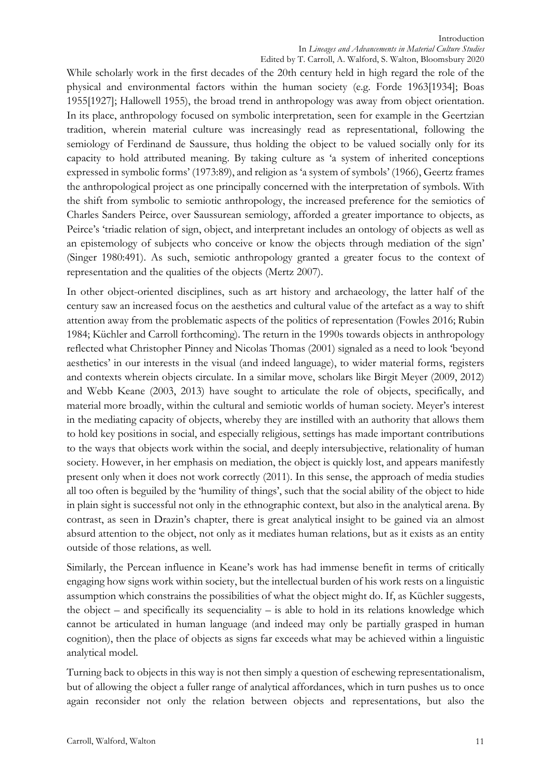While scholarly work in the first decades of the 20th century held in high regard the role of the physical and environmental factors within the human society (e.g. Forde 1963[1934]; Boas 1955[1927]; Hallowell 1955), the broad trend in anthropology was away from object orientation. In its place, anthropology focused on symbolic interpretation, seen for example in the Geertzian tradition, wherein material culture was increasingly read as representational, following the semiology of Ferdinand de Saussure, thus holding the object to be valued socially only for its capacity to hold attributed meaning. By taking culture as 'a system of inherited conceptions expressed in symbolic forms' (1973:89), and religion as 'a system of symbols' (1966), Geertz frames the anthropological project as one principally concerned with the interpretation of symbols. With the shift from symbolic to semiotic anthropology, the increased preference for the semiotics of Charles Sanders Peirce, over Saussurean semiology, afforded a greater importance to objects, as Peirce's 'triadic relation of sign, object, and interpretant includes an ontology of objects as well as an epistemology of subjects who conceive or know the objects through mediation of the sign' (Singer 1980:491). As such, semiotic anthropology granted a greater focus to the context of representation and the qualities of the objects (Mertz 2007).

In other object-oriented disciplines, such as art history and archaeology, the latter half of the century saw an increased focus on the aesthetics and cultural value of the artefact as a way to shift attention away from the problematic aspects of the politics of representation (Fowles 2016; Rubin 1984; Küchler and Carroll forthcoming). The return in the 1990s towards objects in anthropology reflected what Christopher Pinney and Nicolas Thomas (2001) signaled as a need to look 'beyond aesthetics' in our interests in the visual (and indeed language), to wider material forms, registers and contexts wherein objects circulate. In a similar move, scholars like Birgit Meyer (2009, 2012) and Webb Keane (2003, 2013) have sought to articulate the role of objects, specifically, and material more broadly, within the cultural and semiotic worlds of human society. Meyer's interest in the mediating capacity of objects, whereby they are instilled with an authority that allows them to hold key positions in social, and especially religious, settings has made important contributions to the ways that objects work within the social, and deeply intersubjective, relationality of human society. However, in her emphasis on mediation, the object is quickly lost, and appears manifestly present only when it does not work correctly (2011). In this sense, the approach of media studies all too often is beguiled by the 'humility of things', such that the social ability of the object to hide in plain sight is successful not only in the ethnographic context, but also in the analytical arena. By contrast, as seen in Drazin's chapter, there is great analytical insight to be gained via an almost absurd attention to the object, not only as it mediates human relations, but as it exists as an entity outside of those relations, as well.

Similarly, the Percean influence in Keane's work has had immense benefit in terms of critically engaging how signs work within society, but the intellectual burden of his work rests on a linguistic assumption which constrains the possibilities of what the object might do. If, as Küchler suggests, the object – and specifically its sequenciality – is able to hold in its relations knowledge which cannot be articulated in human language (and indeed may only be partially grasped in human cognition), then the place of objects as signs far exceeds what may be achieved within a linguistic analytical model.

Turning back to objects in this way is not then simply a question of eschewing representationalism, but of allowing the object a fuller range of analytical affordances, which in turn pushes us to once again reconsider not only the relation between objects and representations, but also the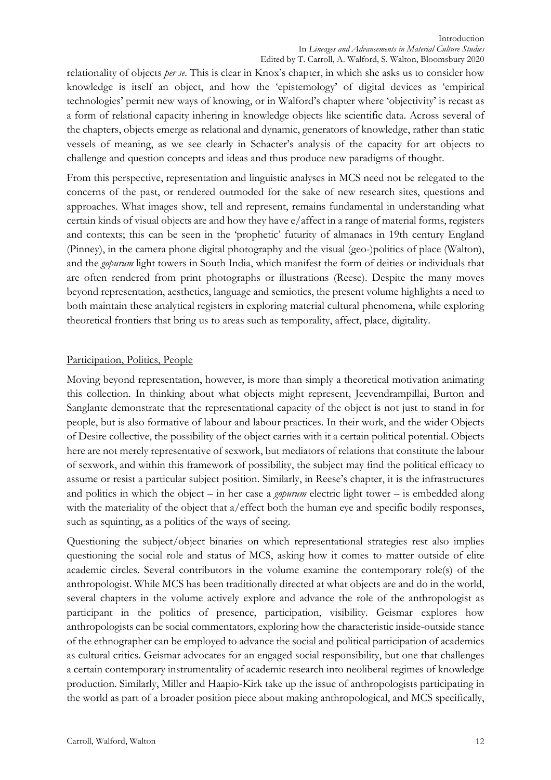relationality of objects *per se*. This is clear in Knox's chapter, in which she asks us to consider how knowledge is itself an object, and how the 'epistemology' of digital devices as 'empirical technologies' permit new ways of knowing, or in Walford's chapter where 'objectivity' is recast as a form of relational capacity inhering in knowledge objects like scientific data. Across several of the chapters, objects emerge as relational and dynamic, generators of knowledge, rather than static vessels of meaning, as we see clearly in Schacter's analysis of the capacity for art objects to challenge and question concepts and ideas and thus produce new paradigms of thought.

From this perspective, representation and linguistic analyses in MCS need not be relegated to the concerns of the past, or rendered outmoded for the sake of new research sites, questions and approaches. What images show, tell and represent, remains fundamental in understanding what certain kinds of visual objects are and how they have e/affect in a range of material forms, registers and contexts; this can be seen in the 'prophetic' futurity of almanacs in 19th century England (Pinney), in the camera phone digital photography and the visual (geo-)politics of place (Walton), and the *gopurum* light towers in South India, which manifest the form of deities or individuals that are often rendered from print photographs or illustrations (Reese). Despite the many moves beyond representation, aesthetics, language and semiotics, the present volume highlights a need to both maintain these analytical registers in exploring material cultural phenomena, while exploring theoretical frontiers that bring us to areas such as temporality, affect, place, digitality.

## Participation, Politics, People

Moving beyond representation, however, is more than simply a theoretical motivation animating this collection. In thinking about what objects might represent, Jeevendrampillai, Burton and Sanglante demonstrate that the representational capacity of the object is not just to stand in for people, but is also formative of labour and labour practices. In their work, and the wider Objects of Desire collective, the possibility of the object carries with it a certain political potential. Objects here are not merely representative of sexwork, but mediators of relations that constitute the labour of sexwork, and within this framework of possibility, the subject may find the political efficacy to assume or resist a particular subject position. Similarly, in Reese's chapter, it is the infrastructures and politics in which the object – in her case a *gopurum* electric light tower – is embedded along with the materiality of the object that a/effect both the human eye and specific bodily responses, such as squinting, as a politics of the ways of seeing.

Questioning the subject/object binaries on which representational strategies rest also implies questioning the social role and status of MCS, asking how it comes to matter outside of elite academic circles. Several contributors in the volume examine the contemporary role(s) of the anthropologist. While MCS has been traditionally directed at what objects are and do in the world, several chapters in the volume actively explore and advance the role of the anthropologist as participant in the politics of presence, participation, visibility. Geismar explores how anthropologists can be social commentators, exploring how the characteristic inside-outside stance of the ethnographer can be employed to advance the social and political participation of academics as cultural critics. Geismar advocates for an engaged social responsibility, but one that challenges a certain contemporary instrumentality of academic research into neoliberal regimes of knowledge production. Similarly, Miller and Haapio-Kirk take up the issue of anthropologists participating in the world as part of a broader position piece about making anthropological, and MCS specifically,